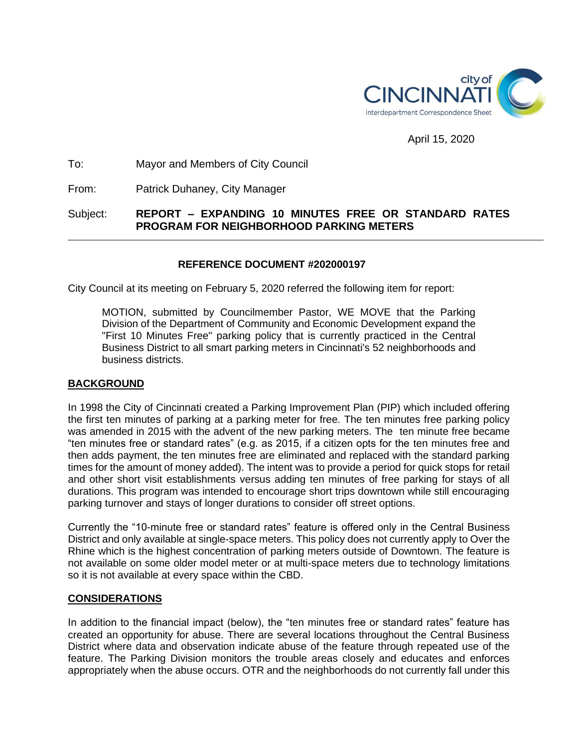

## April 15, 2020

## To: Mayor and Members of City Council

From: Patrick Duhaney, City Manager

# Subject: **REPORT – EXPANDING 10 MINUTES FREE OR STANDARD RATES PROGRAM FOR NEIGHBORHOOD PARKING METERS**

## **REFERENCE DOCUMENT #202000197**

City Council at its meeting on February 5, 2020 referred the following item for report:

MOTION, submitted by Councilmember Pastor, WE MOVE that the Parking Division of the Department of Community and Economic Development expand the "First 10 Minutes Free" parking policy that is currently practiced in the Central Business District to all smart parking meters in Cincinnati's 52 neighborhoods and business districts.

## **BACKGROUND**

In 1998 the City of Cincinnati created a Parking Improvement Plan (PIP) which included offering the first ten minutes of parking at a parking meter for free. The ten minutes free parking policy was amended in 2015 with the advent of the new parking meters. The ten minute free became "ten minutes free or standard rates" (e.g. as 2015, if a citizen opts for the ten minutes free and then adds payment, the ten minutes free are eliminated and replaced with the standard parking times for the amount of money added). The intent was to provide a period for quick stops for retail and other short visit establishments versus adding ten minutes of free parking for stays of all durations. This program was intended to encourage short trips downtown while still encouraging parking turnover and stays of longer durations to consider off street options.

Currently the "10-minute free or standard rates" feature is offered only in the Central Business District and only available at single-space meters. This policy does not currently apply to Over the Rhine which is the highest concentration of parking meters outside of Downtown. The feature is not available on some older model meter or at multi-space meters due to technology limitations so it is not available at every space within the CBD.

#### **CONSIDERATIONS**

In addition to the financial impact (below), the "ten minutes free or standard rates" feature has created an opportunity for abuse. There are several locations throughout the Central Business District where data and observation indicate abuse of the feature through repeated use of the feature. The Parking Division monitors the trouble areas closely and educates and enforces appropriately when the abuse occurs. OTR and the neighborhoods do not currently fall under this